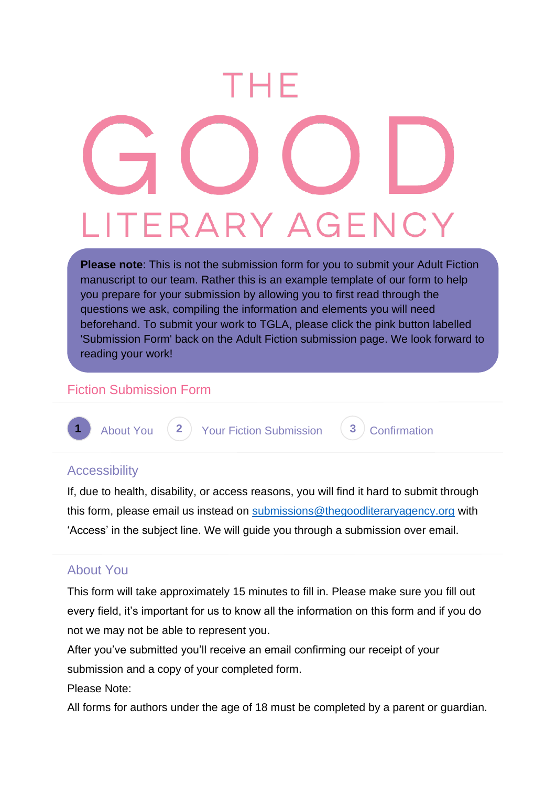# EHF ITERARY AGEN

**Please note**: This is not the submission form for you to submit your Adult Fiction manuscript to our team. Rather this is an example template of our form to help you prepare for your submission by allowing you to first read through the questions we ask, compiling the information and elements you will need beforehand. To submit your work to TGLA, please click the pink button labelled 'Submission Form' back on the Adult Fiction submission page. We look forward to reading your work!

# Fiction Submission Form



**1** About You (2) Your Fiction Submission (3) Confirmation

#### **Accessibility**

If, due to health, disability, or access reasons, you will find it hard to submit through this form, please email us instead on [submissions@thegoodliteraryagency.org](mailto:submissions@thegoodliteraryagency.org) with 'Access' in the subject line. We will guide you through a submission over email.

# About You

This form will take approximately 15 minutes to fill in. Please make sure you fill out every field, it's important for us to know all the information on this form and if you do not we may not be able to represent you.

After you've submitted you'll receive an email confirming our receipt of your submission and a copy of your completed form.

Please Note:

All forms for authors under the age of 18 must be completed by a parent or guardian.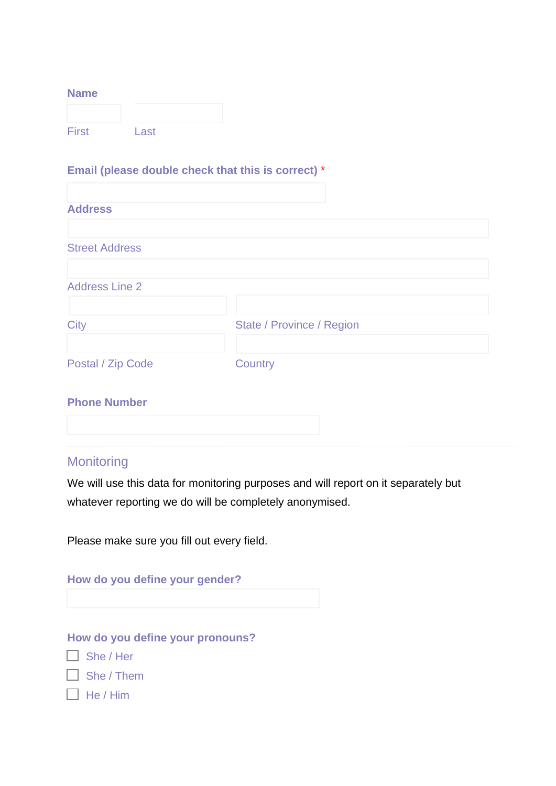#### **Name**

| <b>First</b> | Last |  |
|--------------|------|--|

# **Email (please double check that this is correct)** \*

| <b>Address</b>        |                           |
|-----------------------|---------------------------|
|                       |                           |
| <b>Street Address</b> |                           |
| <b>Address Line 2</b> |                           |
| <b>City</b>           | State / Province / Region |
| Postal / Zip Code     | Country                   |

### **Phone Number**

# **Monitoring**

We will use this data for monitoring purposes and will report on it separately but whatever reporting we do will be completely anonymised.

Please make sure you fill out every field.

|              | How do you define your gender?   |  |
|--------------|----------------------------------|--|
|              |                                  |  |
|              | How do you define your pronouns? |  |
|              | She/Her                          |  |
|              | $\Box$ She / Them                |  |
| $\mathbf{L}$ | He / Him                         |  |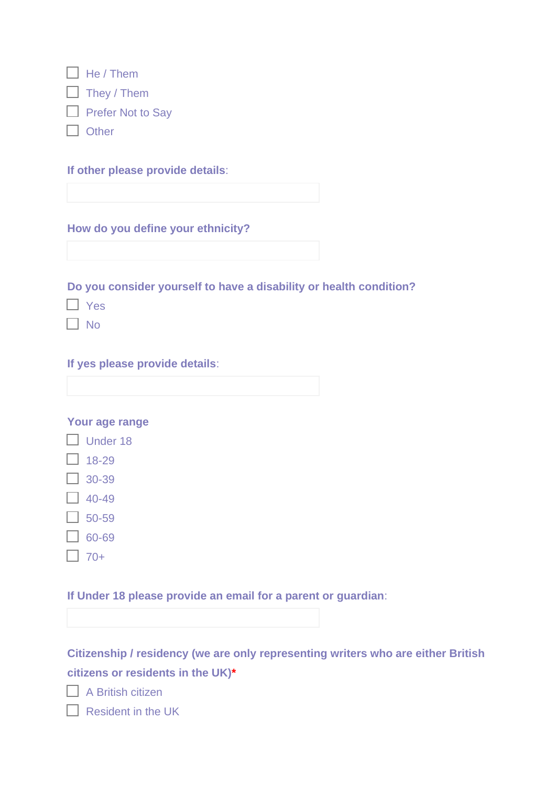| $\Box$ He / Them   |
|--------------------|
| $\Box$ They / Them |
| Frefer Not to Say  |
| $\Box$ Other       |

**If other please provide details**:

**How do you define your ethnicity?**

**Do you consider yourself to have a disability or health condition?**

□ Yes

 $\Box$  No

**If yes please provide details**:

**Your age range**

- $\Box$  Under 18
- $\Box$  18-29
- $\Box$  30-39
- $\Box$  40-49
- $\Box$  50-59
- $\Box$  60-69
- $\Box$  70+

**If Under 18 please provide an email for a parent or guardian**:

**Citizenship / residency (we are only representing writers who are either British citizens or residents in the UK)\***

 $\Box$  A British citizen

Resident in the UK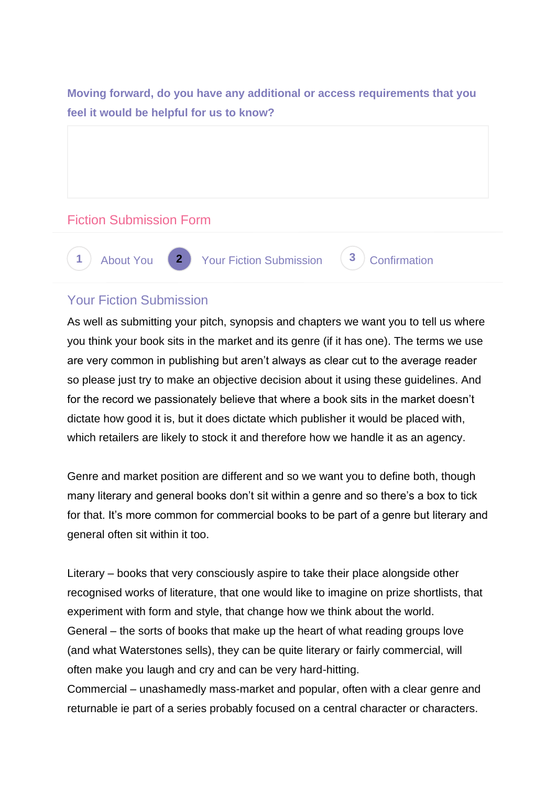**Moving forward, do you have any additional or access requirements that you feel it would be helpful for us to know?**

# Fiction Submission Form



# Your Fiction Submission

As well as submitting your pitch, synopsis and chapters we want you to tell us where you think your book sits in the market and its genre (if it has one). The terms we use are very common in publishing but aren't always as clear cut to the average reader so please just try to make an objective decision about it using these guidelines. And for the record we passionately believe that where a book sits in the market doesn't dictate how good it is, but it does dictate which publisher it would be placed with, which retailers are likely to stock it and therefore how we handle it as an agency.

Genre and market position are different and so we want you to define both, though many literary and general books don't sit within a genre and so there's a box to tick for that. It's more common for commercial books to be part of a genre but literary and general often sit within it too.

Literary – books that very consciously aspire to take their place alongside other recognised works of literature, that one would like to imagine on prize shortlists, that experiment with form and style, that change how we think about the world. General – the sorts of books that make up the heart of what reading groups love (and what Waterstones sells), they can be quite literary or fairly commercial, will often make you laugh and cry and can be very hard-hitting. Commercial – unashamedly mass-market and popular, often with a clear genre and

returnable ie part of a series probably focused on a central character or characters.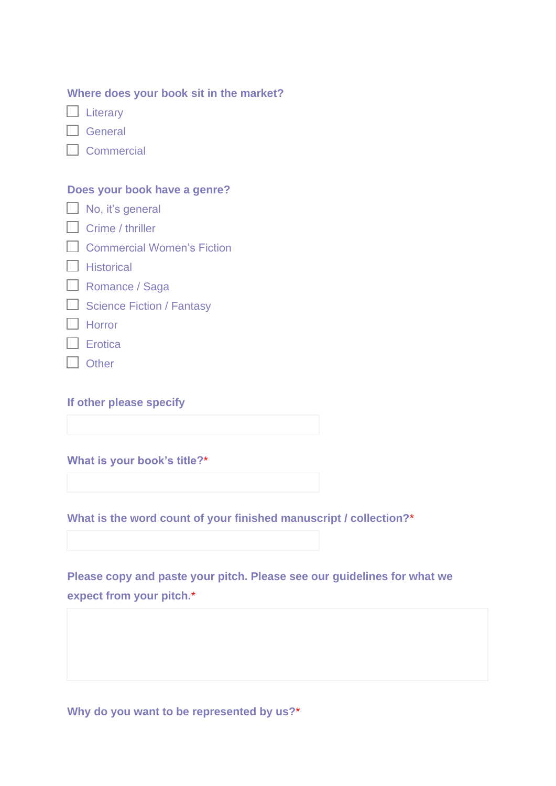| Where does your book sit in the market? |  |  |  |  |  |  |  |
|-----------------------------------------|--|--|--|--|--|--|--|
|-----------------------------------------|--|--|--|--|--|--|--|

 $\Box$  Literary

General

 $\Box$  Commercial

#### **Does your book have a genre?**

|  |  | $\Box$ No, it's general |
|--|--|-------------------------|
|--|--|-------------------------|

- $\Box$  Crime / thriller
- Commercial Women's Fiction
- $\Box$  Historical
- Romance / Saga
- $\Box$  Science Fiction / Fantasy
- $\Box$  Horror
- $\Box$  Erotica
- Other

**If other please specify**

**What is your book's title?**\*

**What is the word count of your finished manuscript / collection?**\*

**Please copy and paste your pitch. Please see our guidelines for what we expect from your pitch.**\*

**Why do you want to be represented by us?**\*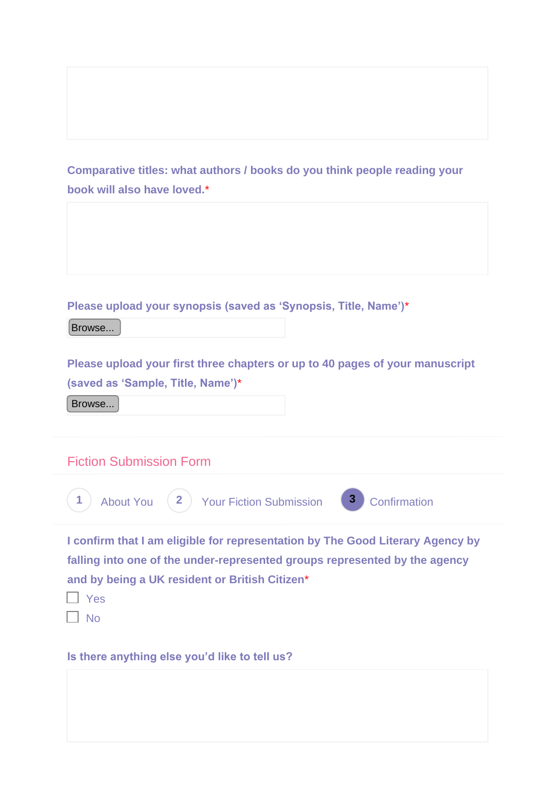**Comparative titles: what authors / books do you think people reading your book will also have loved.**\*

**Please upload your synopsis (saved as 'Synopsis, Title, Name')**\*

Browse...

**Please upload your first three chapters or up to 40 pages of your manuscript (saved as 'Sample, Title, Name')**\*

Browse...

Fiction Submission Form



**I confirm that I am eligible for representation by The Good Literary Agency by falling into one of the under-represented groups represented by the agency and by being a UK resident or British Citizen**\*

 $\Box$  Yes  $\Box$  No

**Is there anything else you'd like to tell us?**